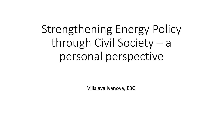# Strengthening Energy Policy through Civil Society – a personal perspective

Vilislava Ivanova, E3G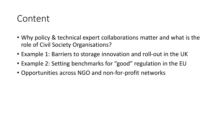### Content

- Why policy & technical expert collaborations matter and what is the role of Civil Society Organisations?
- Example 1: Barriers to storage innovation and roll-out in the UK
- Example 2: Setting benchmarks for "good" regulation in the EU
- Opportunities across NGO and non-for-profit networks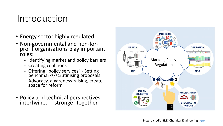### Introduction

- Energy sector highly regulated
- Non-governmental and non-forprofit organisations play important roles:
	- Identifying market and policy barriers
	- Creating coalitions

- …

- Offering "policy services" Setting benchmarks/scrutinising proposals
- Advocacy, awareness-raising, create space for reform
- Policy and technical perspectives intertwined - stronger together

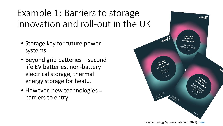Example 1: Barriers to storage innovation and roll-out in the UK

- Storage key for future power systems
- Beyond grid batteries second life EV batteries, non-battery electrical storage, thermal energy storage for heat…
- However, new technologies = barriers to entry

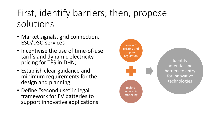## First, identify barriers; then, propose solutions

- Market signals, grid connection, ESO/DSO services
- Incentivise the use of time-of-use tariffs and dynamic electricity pricing for TES in DHN;
- Establish clear guidance and minimum requirements for the design and planning
- Define "second use" in legal framework for EV batteries to support innovative applications

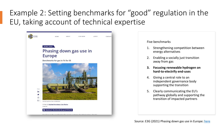#### Example 2: Setting benchmarks for "good" regulation in the EU, taking account of technical expertise



#### Five benchmarks

- 1. Strengthening competition between energy alternatives
- 2. Enabling a socially just transition away from gas
- **3. Focusing renewable hydrogen on hard-to-electrify end-uses**
- 4. Giving a central role to an independent governance body supporting the transition
- 5. Clearly communicating the EU's pathway globally and supporting the transition of impacted partners

Source: E3G (2021) Phasing down gas use in Europe: [here](https://www.e3g.org/publications/phasing-down-gas-use-in-europe/)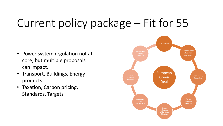# Current policy package – Fit for 55

- Power system regulation not at **Power System regulation** not at core, but multiple proposals can impact.
- Transport, Buildings, Energy products
- Taxation, Carbon pricing, Standards, Targets

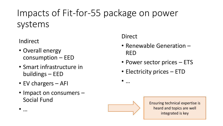# Impacts of Fit-for-55 package on power systems

Indirect

• …

- Overall energy consumption – EED
- Smart infrastructure in buildings – EED
- EV chargers AFI
- Impact on consumers Social Fund

Direct

- Renewable Generation RED
- Power sector prices ETS
- Electricity prices ETD

• …



Ensuring technical expertise is heard and topics are well integrated is key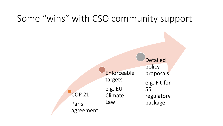## Some "wins" with CSO community support

COP 21 Paris agreement Enforceable targets e.g. EU Climate Law 55

Detailed policy proposals e.g. Fit-forregulatory package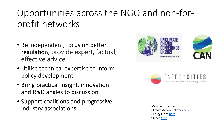## Opportunities across the NGO and non-forprofit networks

- Be independent, focus on better regulation, provide expert, factual, effective advice
- Utilise technical expertise to inform policy development
- Bring practical insight, innovation and R&D angles to discussion
- Support coalitions and progressive industry associations and the more information:





Climate Action Network [here](https://climatenetwork.org/) Energy Cities [here](https://energy-cities.eu/) COP26 [here](https://ukcop26.org/)